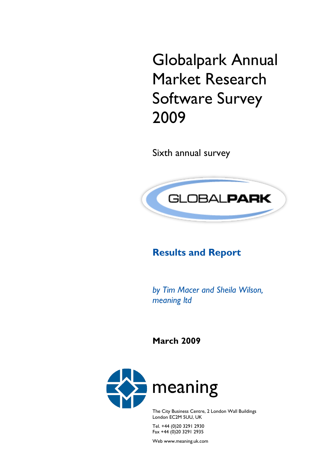Globalpark Annual Market Research Software Survey 2009

Sixth annual survey



# **Results and Report**

*by Tim Macer and Sheila Wilson, meaning ltd* 

**March 2009**



The City Business Centre, 2 London Wall Buildings London EC2M 5UU, UK

Tel. +44 (0)20 3291 2930 Fax +44 (0)20 3291 2935

Web www.meaning.uk.com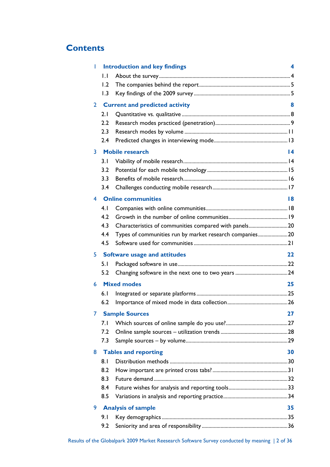## **Contents**

| ı  |              | <b>Introduction and key findings</b>                    | 4  |
|----|--------------|---------------------------------------------------------|----|
|    | $\mathsf{L}$ |                                                         |    |
|    | 1.2          |                                                         |    |
|    | 1.3          |                                                         |    |
| 2  |              | <b>Current and predicted activity</b>                   | 8  |
|    | 2.1          |                                                         |    |
|    | 2.2          |                                                         |    |
|    | 2.3          |                                                         |    |
|    | 2.4          |                                                         |    |
| 3  |              | <b>Mobile research</b>                                  | 14 |
|    | 3.1          |                                                         |    |
|    | 3.2          |                                                         |    |
|    | 3.3          |                                                         |    |
|    | 3.4          |                                                         |    |
| 4  |              | <b>Online communities</b>                               | 18 |
|    | 4.1          |                                                         |    |
|    | 4.2          |                                                         |    |
|    | 4.3          | Characteristics of communities compared with panels20   |    |
|    | 4.4          | Types of communities run by market research companies20 |    |
|    | 4.5          |                                                         |    |
| 5. |              | <b>Software usage and attitudes</b>                     | 22 |
|    | 5. I         |                                                         |    |
|    |              |                                                         |    |
|    | 5.2          |                                                         |    |
| 6  |              | <b>Mixed modes</b>                                      | 25 |
|    | 6.1          |                                                         |    |
|    | 6.2          |                                                         |    |
|    |              | <b>Sample Sources</b>                                   | 27 |
|    | 7.1          |                                                         |    |
|    | 7.2          |                                                         |    |
|    | 7.3          |                                                         |    |
| 8  |              | <b>Tables and reporting</b>                             | 30 |
|    | 8.1          |                                                         |    |
|    | 8.2          |                                                         |    |
|    | 8.3          |                                                         |    |
|    | 8.4          |                                                         |    |
|    | 8.5          |                                                         |    |
| 9  |              | <b>Analysis of sample</b>                               | 35 |
|    | 9.1          |                                                         |    |
|    | 9.2          |                                                         |    |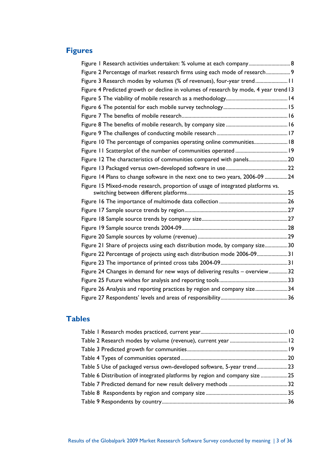## **Figures**

| Figure I Research activities undertaken: % volume at each company 8                  |  |
|--------------------------------------------------------------------------------------|--|
| Figure 2 Percentage of market research firms using each mode of research 9           |  |
| Figure 3 Research modes by volumes (% of revenues), four-year trend 11               |  |
| Figure 4 Predicted growth or decline in volumes of research by mode, 4 year trend 13 |  |
|                                                                                      |  |
|                                                                                      |  |
|                                                                                      |  |
|                                                                                      |  |
|                                                                                      |  |
| Figure 10 The percentage of companies operating online communities 18                |  |
|                                                                                      |  |
| Figure 12 The characteristics of communities compared with panels20                  |  |
|                                                                                      |  |
| Figure 14 Plans to change software in the next one to two years, 2006-09 24          |  |
| Figure 15 Mixed-mode research, proportion of usage of integrated platforms vs.       |  |
|                                                                                      |  |
|                                                                                      |  |
|                                                                                      |  |
|                                                                                      |  |
|                                                                                      |  |
|                                                                                      |  |
| Figure 21 Share of projects using each distribution mode, by company size30          |  |
| Figure 22 Percentage of projects using each distribution mode 2006-0931              |  |
|                                                                                      |  |
| Figure 24 Changes in demand for new ways of delivering results - overview32          |  |
|                                                                                      |  |
| Figure 26 Analysis and reporting practices by region and company size34              |  |
|                                                                                      |  |
|                                                                                      |  |

### **Tables**

| Table 5 Use of packaged versus own-developed software, 5-year trend23      |
|----------------------------------------------------------------------------|
| Table 6 Distribution of integrated platforms by region and company size 25 |
|                                                                            |
|                                                                            |
|                                                                            |
|                                                                            |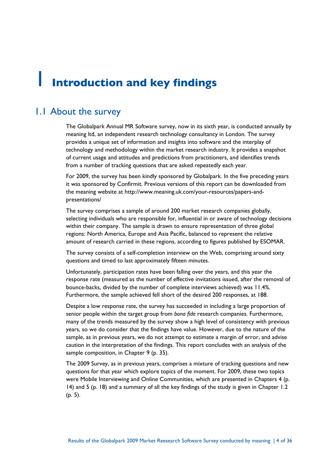# **Introduction and key findings**

## 1.1 About the survey

The Globalpark Annual MR Software survey, now in its sixth year, is conducted annually by meaning ltd, an independent research technology consultancy in London. The survey provides a unique set of information and insights into software and the interplay of technology and methodology within the market research industry. It provides a snapshot of current usage and attitudes and predictions from practitioners, and identifies trends from a number of tracking questions that are asked repeatedly each year.

For 2009, the survey has been kindly sponsored by Globalpark. In the five preceding years it was sponsored by Confirmit. Previous versions of this report can be downloaded from the meaning website at http://www.meaning.uk.com/your-resources/papers-andpresentations/

The survey comprises a sample of around 200 market research companies globally, selecting individuals who are responsible for, influential in or aware of technology decisions within their company. The sample is drawn to ensure representation of three global regions: North America, Europe and Asia Pacific, balanced to represent the relative amount of research carried in these regions, according to figures published by ESOMAR.

The survey consists of a self-completion interview on the Web, comprising around sixty questions and timed to last approximately fifteen minutes.

Unfortunately, participation rates have been falling over the years, and this year the response rate (measured as the number of effective invitations issued, after the removal of bounce-backs, divided by the number of complete interviews achieved) was 11.4%. Furthermore, the sample achieved fell short of the desired 200 responses, at 188.

Despite a low response rate, the survey has succeeded in including a large proportion of senior people within the target group from *bona fide* research companies. Furthermore, many of the trends measured by the survey show a high level of consistency with previous years, so we do consider that the findings have value. However, due to the nature of the sample, as in previous years, we do not attempt to estimate a margin of error, and advise caution in the interpretation of the findings. This report concludes with an analysis of the sample composition, in Chapter 9 (p. 35).

The 2009 Survey, as in previous years, comprises a mixture of tracking questions and new questions for that year which explore topics of the moment. For 2009, these two topics were Mobile Interviewing and Online Communities, which are presented in Chapters 4 (p. 14) and 5 (p. 18) and a summary of all the key findings of the study is given in Chapter 1.2 (p. 5).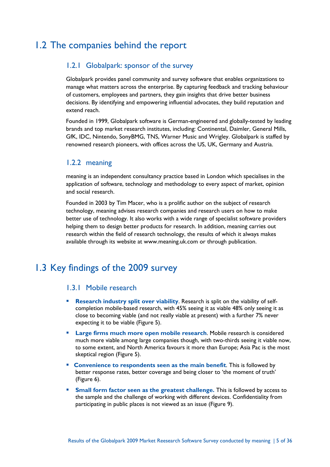## 1.2 The companies behind the report

#### 1.2.1 Globalpark: sponsor of the survey

Globalpark provides panel community and survey software that enables organizations to manage what matters across the enterprise. By capturing feedback and tracking behaviour of customers, employees and partners, they gain insights that drive better business decisions. By identifying and empowering influential advocates, they build reputation and extend reach.

Founded in 1999, Globalpark software is German-engineered and globally-tested by leading brands and top market research institutes, including: Continental, Daimler, General Mills, GfK, IDC, Nintendo, SonyBMG, TNS, Warner Music and Wrigley. Globalpark is staffed by renowned research pioneers, with offices across the US, UK, Germany and Austria.

#### 1.2.2 meaning

meaning is an independent consultancy practice based in London which specialises in the application of software, technology and methodology to every aspect of market, opinion and social research.

Founded in 2003 by Tim Macer, who is a prolific author on the subject of research technology, meaning advises research companies and research users on how to make better use of technology. It also works with a wide range of specialist software providers helping them to design better products for research. In addition, meaning carries out research within the field of research technology, the results of which it always makes available through its website at www.meaning.uk.com or through publication.

## 1.3 Key findings of the 2009 survey

#### 1.3.1 Mobile research

- **Research industry split over viability**. Research is split on the viability of selfcompletion mobile-based research, with 45% seeing it as viable 48% only seeing it as close to becoming viable (and not really viable at present) with a further 7% never expecting it to be viable (Figure 5).
- **Large firms much more open mobile research**. Mobile research is considered much more viable among large companies though, with two-thirds seeing it viable now, to some extent, and North America favours it more than Europe; Asia Pac is the most skeptical region (Figure 5).
- **Convenience to respondents seen as the main benefit. This is followed by** better response rates, better coverage and being closer to 'the moment of truth' (Figure 6).
- **Small form factor seen as the greatest challenge. This is followed by access to Small form 3.** the sample and the challenge of working with different devices. Confidentiality from participating in public places is not viewed as an issue (Figure 9).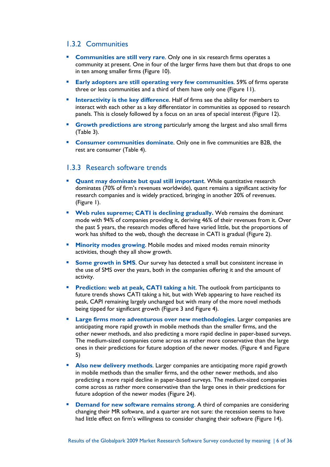#### 1.3.2 Communities

- **Communities are still very rare.** Only one in six research firms operates a community at present. One in four of the larger firms have them but that drops to one in ten among smaller firms (Figure 10).
- **Early adopters are still operating very few communities**. 59% of firms operate three or less communities and a third of them have only one (Figure 11).
- **Interactivity is the key difference.** Half of firms see the ability for members to interact with each other as a key differentiator in communities as opposed to research panels. This is closely followed by a focus on an area of special interest (Figure 12).
- **Growth predictions are strong** particularly among the largest and also small firms (Table 3).
- **Consumer communities dominate.** Only one in five communities are B2B, the rest are consumer (Table 4).

#### 1.3.3 Research software trends

- **Quant may dominate but qual still important**. While quantitative research dominates (70% of firm's revenues worldwide), quant remains a significant activity for research companies and is widely practiced, bringing in another 20% of revenues. (Figure 1).
- **Web rules supreme; CATI is declining gradually.** Web remains the dominant mode with 94% of companies providing it, deriving 46% of their revenues from it. Over the past 5 years, the research modes offered have varied little, but the proportions of work has shifted to the web, though the decrease in CATI is gradual (Figure 2).
- **Minority modes growing.** Mobile modes and mixed modes remain minority activities, though they all show growth.
- **Some growth in SMS.** Our survey has detected a small but consistent increase in the use of SMS over the years, both in the companies offering it and the amount of activity.
- **Prediction: web at peak, CATI taking a hit.** The outlook from participants to future trends shows CATI taking a hit, but with Web appearing to have reached its peak, CAPI remaining largely unchanged but with many of the more novel methods being tipped for significant growth (Figure 3 and Figure 4).
- **Large firms more adventurous over new methodologies**. Larger companies are anticipating more rapid growth in mobile methods than the smaller firms, and the other newer methods, and also predicting a more rapid decline in paper-based surveys. The medium-sized companies come across as rather more conservative than the large ones in their predictions for future adoption of the newer modes. (Figure 4 and Figure 5)
- **Also new delivery methods.** Larger companies are anticipating more rapid growth in mobile methods than the smaller firms, and the other newer methods, and also predicting a more rapid decline in paper-based surveys. The medium-sized companies come across as rather more conservative than the large ones in their predictions for future adoption of the newer modes (Figure 24).
- **Demand for new software remains strong.** A third of companies are considering changing their MR software, and a quarter are not sure: the recession seems to have had little effect on firm's willingness to consider changing their software (Figure 14).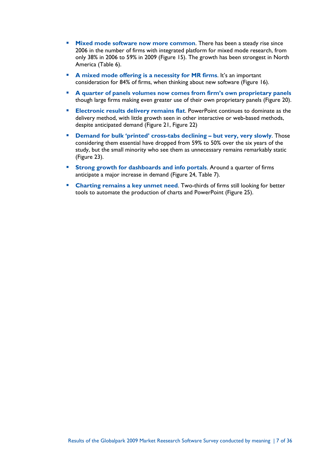- **Mixed mode software now more common.** There has been a steady rise since 2006 in the number of firms with integrated platform for mixed mode research, from only 38% in 2006 to 59% in 2009 (Figure 15). The growth has been strongest in North America (Table 6).
- **A mixed mode offering is a necessity for MR firms.** It's an important consideration for 84% of firms, when thinking about new software (Figure 16).
- **A quarter of panels volumes now comes from firm's own proprietary panels** though large firms making even greater use of their own proprietary panels (Figure 20).
- **Electronic results delivery remains flat**. PowerPoint continues to dominate as the delivery method, with little growth seen in other interactive or web-based methods, despite anticipated demand (Figure 21, Figure 22)
- **Demand for bulk 'printed' cross-tabs declining but very, very slowly**. Those considering them essential have dropped from 59% to 50% over the six years of the study, but the small minority who see them as unnecessary remains remarkably static (Figure 23).
- **Strong growth for dashboards and info portals**. Around a quarter of firms anticipate a major increase in demand (Figure 24, Table 7).
- **Charting remains a key unmet need.** Two-thirds of firms still looking for better tools to automate the production of charts and PowerPoint (Figure 25).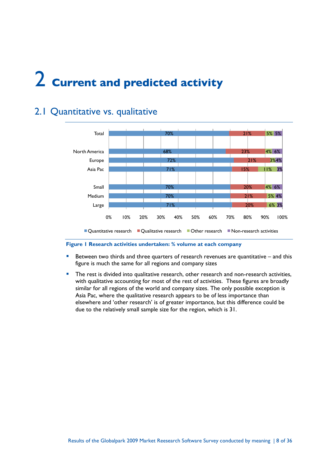# 2 **Current and predicted activity**

# 2.1 Quantitative vs. qualitative



#### **Figure 1 Research activities undertaken: % volume at each company**

- **Between two thirds and three quarters of research revenues are quantitative and this** figure is much the same for all regions and company sizes
- The rest is divided into qualitative research, other research and non-research activities, with qualitative accounting for most of the rest of activities. These figures are broadly similar for all regions of the world and company sizes. The only possible exception is Asia Pac, where the qualitative research appears to be of less importance than elsewhere and 'other research' is of greater importance, but this difference could be due to the relatively small sample size for the region, which is 31.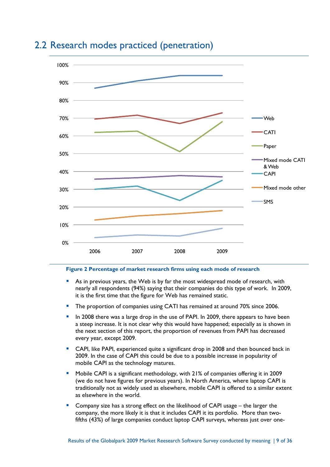

## 2.2 Research modes practiced (penetration)

#### **Figure 2 Percentage of market research firms using each mode of research**

- As in previous years, the Web is by far the most widespread mode of research, with nearly all respondents (94%) saying that their companies do this type of work. In 2009, it is the first time that the figure for Web has remained static.
- **The proportion of companies using CATI has remained at around 70% since 2006.**
- In 2008 there was a large drop in the use of PAPI. In 2009, there appears to have been a steep increase. It is not clear why this would have happened; especially as is shown in the next section of this report, the proportion of revenues from PAPI has decreased every year, except 2009.
- CAPI, like PAPI, experienced quite a significant drop in 2008 and then bounced back in 2009. In the case of CAPI this could be due to a possible increase in popularity of mobile CAPI as the technology matures.
- Mobile CAPI is a significant methodology, with 21% of companies offering it in 2009 (we do not have figures for previous years). In North America, where laptop CAPI is traditionally not as widely used as elsewhere, mobile CAPI is offered to a similar extent as elsewhere in the world.
- Company size has a strong effect on the likelihood of CAPI usage the larger the company, the more likely it is that it includes CAPI it its portfolio. More than twofifths (43%) of large companies conduct laptop CAPI surveys, whereas just over one-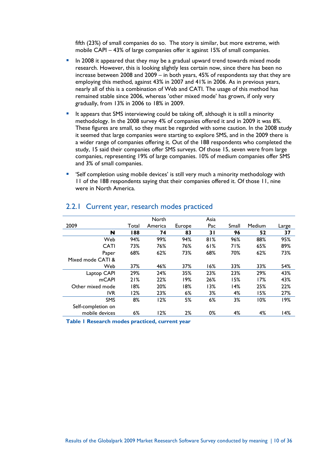fifth (23%) of small companies do so. The story is similar, but more extreme, with mobile CAPI – 43% of large companies offer it against 15% of small companies.

- **In 2008 it appeared that they may be a gradual upward trend towards mixed mode** research. However, this is looking slightly less certain now, since there has been no increase between 2008 and 2009 – in both years, 45% of respondents say that they are employing this method, against 43% in 2007 and 41% in 2006. As in previous years, nearly all of this is a combination of Web and CATI. The usage of this method has remained stable since 2006, whereas 'other mixed mode' has grown, if only very gradually, from 13% in 2006 to 18% in 2009.
- It appears that SMS interviewing could be taking off, although it is still a minority methodology. In the 2008 survey 4% of companies offered it and in 2009 it was 8%. These figures are small, so they must be regarded with some caution. In the 2008 study it seemed that large companies were starting to explore SMS, and in the 2009 there is a wider range of companies offering it. Out of the 188 respondents who completed the study, 15 said their companies offer SMS surveys. Of those 15, seven were from large companies, representing 19% of large companies. 10% of medium companies offer SMS and 3% of small companies.
- 'Self completion using mobile devices' is still very much a minority methodology with 11 of the 188 respondents saying that their companies offered it. Of those 11, nine were in North America.

|                    |       | North   |        | Asia |       |        |       |
|--------------------|-------|---------|--------|------|-------|--------|-------|
| 2009               | Total | America | Europe | Pac  | Small | Medium | Large |
| N                  | 188   | 74      | 83     | 31   | 96    | 52     | 37    |
| Web                | 94%   | 99%     | 94%    | 81%  | 96%   | 88%    | 95%   |
| CATI               | 73%   | 76%     | 76%    | 61%  | 71%   | 65%    | 89%   |
| Paper              | 68%   | 62%     | 73%    | 68%  | 70%   | 62%    | 73%   |
| Mixed mode CATI &  |       |         |        |      |       |        |       |
| Web                | 37%   | 46%     | 37%    | 16%  | 33%   | 33%    | 54%   |
| Laptop CAPI        | 29%   | 24%     | 35%    | 23%  | 23%   | 29%    | 43%   |
| mCAPI              | 21%   | 22%     | 19%    | 26%  | 15%   | 17%    | 43%   |
| Other mixed mode   | 18%   | 20%     | 18%    | 13%  | 14%   | 25%    | 22%   |
| <b>IVR</b>         | 12%   | 23%     | $6\%$  | 3%   | 4%    | 15%    | 27%   |
| <b>SMS</b>         | 8%    | 12%     | 5%     | 6%   | 3%    | 10%    | 19%   |
| Self-completion on |       |         |        |      |       |        |       |
| mobile devices     | 6%    | 12%     | 2%     | 0%   | 4%    | 4%     | 14%   |
|                    |       |         |        |      |       |        |       |

#### 2.2.1 Current year, research modes practiced

**Table 1 Research modes practiced, current year**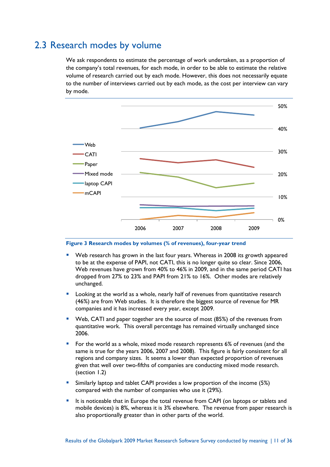## 2.3 Research modes by volume

We ask respondents to estimate the percentage of work undertaken, as a proportion of the company's total revenues, for each mode, in order to be able to estimate the relative volume of research carried out by each mode. However, this does not necessarily equate to the number of interviews carried out by each mode, as the cost per interview can vary by mode.



**Figure 3 Research modes by volumes (% of revenues), four-year trend**

- Web research has grown in the last four years. Whereas in 2008 its growth appeared to be at the expense of PAPI, not CATI, this is no longer quite so clear. Since 2006, Web revenues have grown from 40% to 46% in 2009, and in the same period CATI has dropped from 27% to 23% and PAPI from 21% to 16%. Other modes are relatively unchanged.
- Looking at the world as a whole, nearly half of revenues from quantitative research (46%) are from Web studies. It is therefore the biggest source of revenue for MR companies and it has increased every year, except 2009.
- Web, CATI and paper together are the source of most (85%) of the revenues from quantitative work. This overall percentage has remained virtually unchanged since 2006.
- For the world as a whole, mixed mode research represents 6% of revenues (and the same is true for the years 2006, 2007 and 2008). This figure is fairly consistent for all regions and company sizes. It seems a lower than expected proportion of revenues given that well over two-fifths of companies are conducting mixed mode research. (section 1.2)
- Similarly laptop and tablet CAPI provides a low proportion of the income (5%) compared with the number of companies who use it (29%).
- It is noticeable that in Europe the total revenue from CAPI (on laptops or tablets and mobile devices) is 8%, whereas it is 3% elsewhere. The revenue from paper research is also proportionally greater than in other parts of the world.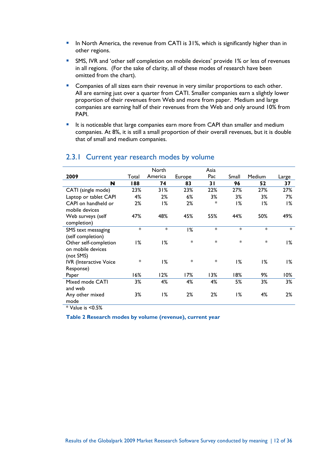- In North America, the revenue from CATI is 31%, which is significantly higher than in other regions.
- SMS, IVR and 'other self completion on mobile devices' provide 1% or less of revenues in all regions. (For the sake of clarity, all of these modes of research have been omitted from the chart).
- **Companies of all sizes earn their revenue in very similar proportions to each other.** All are earning just over a quarter from CATI. Smaller companies earn a slightly lower proportion of their revenues from Web and more from paper. Medium and large companies are earning half of their revenues from the Web and only around 10% from PAPI.
- It is noticeable that large companies earn more from CAPI than smaller and medium companies. At 8%, it is still a small proportion of their overall revenues, but it is double that of small and medium companies.

|                                                         |        | North   |        | Asia   |        |        |        |
|---------------------------------------------------------|--------|---------|--------|--------|--------|--------|--------|
| 2009                                                    | Total  | America | Europe | Pac    | Small  | Medium | Large  |
| N                                                       | 188    | 74      | 83     | 31     | 96     | 52     | 37     |
| CATI (single mode)                                      | 23%    | 31%     | 23%    | 22%    | 27%    | 27%    | 27%    |
| Laptop or tablet CAPI                                   | 4%     | 2%      | 6%     | 3%     | 3%     | 3%     | 7%     |
| CAPI on handheld or<br>mobile devices                   | 2%     | 1%      | 2%     | *      | 1%     | 1%     | 1%     |
| Web surveys (self<br>completion)                        | 47%    | 48%     | 45%    | 55%    | 44%    | 50%    | 49%    |
| SMS text messaging<br>(self completion)                 | $\ast$ | $\ast$  | 1%     | $\ast$ | $\ast$ | *      | $\ast$ |
| Other self-completion<br>on mobile devices<br>(not SMS) | 1%     | 1%      | $\ast$ | $\ast$ | $\ast$ | *      | 1%     |
| <b>IVR</b> (Interactive Voice<br>Response)              | $\ast$ | 1%      | $\ast$ | *      | 1%     | 1%     | 1%     |
| Paper                                                   | 16%    | 12%     | 7%۱    | 13%    | 18%    | 9%     | 10%    |
| Mixed mode CATI<br>and web                              | 3%     | 4%      | 4%     | 4%     | 5%     | 3%     | 3%     |
| Any other mixed<br>mode                                 | 3%     | 1%      | 2%     | 2%     | 1%     | 4%     | 2%     |

#### 2.3.1 Current year research modes by volume

 $*$  Value is  $< 0.5\%$ 

**Table 2 Research modes by volume (revenue), current year**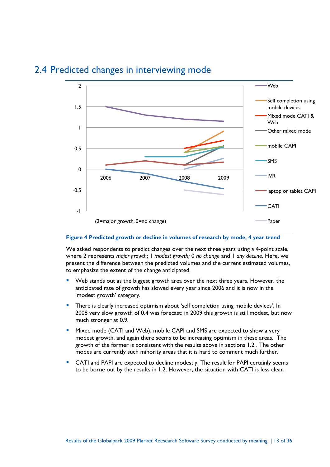

### 2.4 Predicted changes in interviewing mode

#### **Figure 4 Predicted growth or decline in volumes of research by mode, 4 year trend**

We asked respondents to predict changes over the next three years using a 4-point scale, where 2 represents *major growth*; 1 *modest growth;* 0 *no change* and 1 *any decline*. Here, we present the difference between the predicted volumes and the current estimated volumes, to emphasize the extent of the change anticipated.

- Web stands out as the biggest growth area over the next three years. However, the anticipated rate of growth has slowed every year since 2006 and it is now in the 'modest growth' category.
- **There is clearly increased optimism about 'self completion using mobile devices'. In** 2008 very slow growth of 0.4 was forecast; in 2009 this growth is still modest, but now much stronger at 0.9.
- **Mixed mode (CATI and Web), mobile CAPI and SMS are expected to show a very** modest growth, and again there seems to be increasing optimism in these areas. The growth of the former is consistent with the results above in sections 1.2 . The other modes are currently such minority areas that it is hard to comment much further.
- CATI and PAPI are expected to decline modestly. The result for PAPI certainly seems to be borne out by the results in 1.2. However, the situation with CATI is less clear.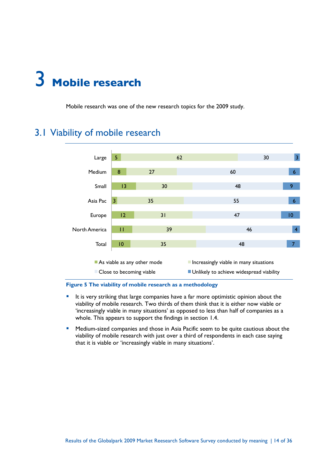# 3 **Mobile research**

Mobile research was one of the new research topics for the 2009 study.

## 3.1 Viability of mobile research



#### **Figure 5 The viability of mobile research as a methodology**

- It is very striking that large companies have a far more optimistic opinion about the viability of mobile research. Two thirds of them think that it is either now viable or 'increasingly viable in many situations' as opposed to less than half of companies as a whole. This appears to support the findings in section 1.4.
- **Medium-sized companies and those in Asia Pacific seem to be quite cautious about the** viability of mobile research with just over a third of respondents in each case saying that it is viable or 'increasingly viable in many situations'.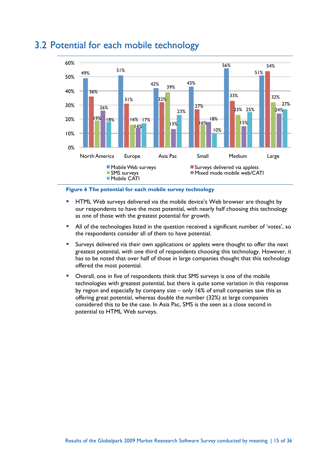

## 3.2 Potential for each mobile technology

#### **Figure 6 The potential for each mobile survey technology**

- HTML Web surveys delivered via the mobile device's Web browser are thought by our respondents to have the most potential, with nearly half choosing this technology as one of those with the greatest potential for growth.
- **All of the technologies listed in the question received a significant number of 'votes', so** the respondents consider all of them to have potential.
- Surveys delivered via their own applications or applets were thought to offer the next greatest potential, with one third of respondents choosing this technology. However, it has to be noted that over half of those in large companies thought that this technology offered the most potential.
- Overall, one in five of respondents think that SMS surveys is one of the mobile technologies with greatest potential, but there is quite some variation in this response by region and especially by company size – only 16% of small companies saw this as offering great potential, whereas double the number (32%) at large companies considered this to be the case. In Asia Pac, SMS is the seen as a close second in potential to HTML Web surveys.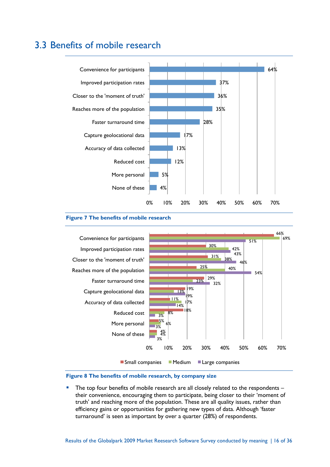## 3.3 Benefits of mobile research



#### **Figure 7 The benefits of mobile research**



#### **Figure 8 The benefits of mobile research, by company size**

 The top four benefits of mobile research are all closely related to the respondents – their convenience, encouraging them to participate, being closer to their 'moment of truth' and reaching more of the population. These are all quality issues, rather than efficiency gains or opportunities for gathering new types of data. Although 'faster turnaround' is seen as important by over a quarter (28%) of respondents.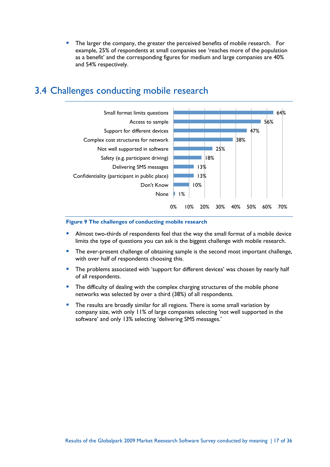The larger the company, the greater the perceived benefits of mobile research. For example, 25% of respondents at small companies see 'reaches more of the population as a benefit' and the corresponding figures for medium and large companies are 40% and 54% respectively.

# 3.4 Challenges conducting mobile research



#### **Figure 9 The challenges of conducting mobile research**

- Almost two-thirds of respondents feel that the way the small format of a mobile device limits the type of questions you can ask is the biggest challenge with mobile research.
- The ever-present challenge of obtaining sample is the second most important challenge, with over half of respondents choosing this.
- The problems associated with 'support for different devices' was chosen by nearly half of all respondents.
- **The difficulty of dealing with the complex charging structures of the mobile phone** networks was selected by over a third (38%) of all respondents.
- The results are broadly similar for all regions. There is some small variation by company size, with only 11% of large companies selecting 'not well supported in the software' and only 13% selecting 'delivering SMS messages.'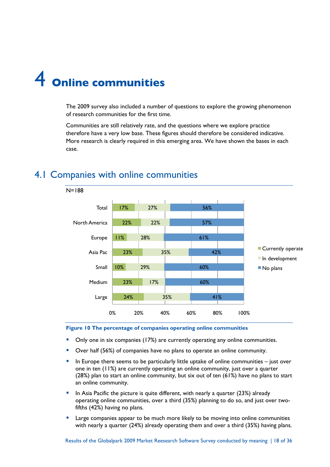# 4 **Online communities**

The 2009 survey also included a number of questions to explore the growing phenomenon of research communities for the first time.

Communities are still relatively rate, and the questions where we explore practice therefore have a very low base. These figures should therefore be considered indicative. More research is clearly required in this emerging area. We have shown the bases in each case.



# 4.1 Companies with online communities

**Figure 10 The percentage of companies operating online communities**

- Only one in six companies (17%) are currently operating any online communities.
- Over half (56%) of companies have no plans to operate an online community.
- In Europe there seems to be particularly little uptake of online communities just over one in ten (11%) are currently operating an online community, just over a quarter (28%) plan to start an online community, but six out of ten (61%) have no plans to start an online community.
- In Asia Pacific the picture is quite different, with nearly a quarter  $(23%)$  already operating online communities, over a third (35%) planning to do so, and just over twofifths (42%) having no plans.
- Large companies appear to be much more likely to be moving into online communities with nearly a quarter (24%) already operating them and over a third (35%) having plans.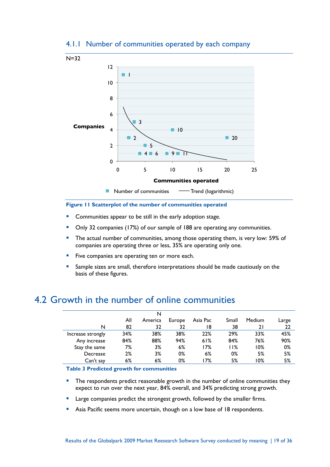

#### 4.1.1 Number of communities operated by each company

#### **Figure 11 Scatterplot of the number of communities operated**

- Communities appear to be still in the early adoption stage.
- Only 32 companies (17%) of our sample of 188 are operating any communities.
- The actual number of communities, among those operating them, is very low: 59% of companies are operating three or less, 35% are operating only one.
- **Five companies are operating ten or more each.**
- Sample sizes are small, therefore interpretations should be made cautiously on the basis of these figures.

### 4.2 Growth in the number of online communities

|                   |     | N       |        |          |       |        |       |
|-------------------|-----|---------|--------|----------|-------|--------|-------|
|                   | All | America | Europe | Asia Pac | Small | Medium | Large |
| N                 | 82  | 32      | 32     | ۱8       | 38    | 21     | 22    |
| Increase strongly | 34% | 38%     | 38%    | 22%      | 29%   | 33%    | 45%   |
| Any increase      | 84% | 88%     | 94%    | 61%      | 84%   | 76%    | 90%   |
| Stay the same     | 7%  | 3%      | 6%     | 7%       | l I%  | 10%    | 0%    |
| Decrease          | 2%  | 3%      | 0%     | 6%       | 0%    | 5%     | 5%    |
| Can't say         | 6%  | $6\%$   | 0%     | 7%       | 5%    | 0%     | 5%    |

**Table 3 Predicted growth for communities**

- **The respondents predict reasonable growth in the number of online communities they** expect to run over the next year, 84% overall, and 34% predicting strong growth.
- Large companies predict the strongest growth, followed by the smaller firms.
- Asia Pacific seems more uncertain, though on a low base of 18 respondents.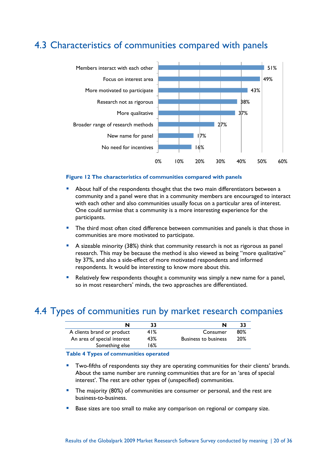## 4.3 Characteristics of communities compared with panels



#### **Figure 12 The characteristics of communities compared with panels**

- About half of the respondents thought that the two main differentiators between a community and a panel were that in a community members are encouraged to interact with each other and also communities usually focus on a particular area of interest. One could surmise that a community is a more interesting experience for the participants.
- The third most often cited difference between communities and panels is that those in communities are more motivated to participate.
- A sizeable minority (38%) think that community research is not as rigorous as panel research. This may be because the method is also viewed as being "more qualitative" by 37%, and also a side-effect of more motivated respondents and informed respondents. It would be interesting to know more about this.
- Relatively few respondents thought a community was simply a new name for a panel, so in most researchers' minds, the two approaches are differentiated.

### 4.4 Types of communities run by market research companies

| 41% | Consumer                    | 80% |
|-----|-----------------------------|-----|
| 43% | <b>Business to business</b> | 20% |
| 16% |                             |     |
|     |                             |     |

#### **Table 4 Types of communities operated**

- Two-fifths of respondents say they are operating communities for their clients' brands. About the same number are running communities that are for an 'area of special interest'. The rest are other types of (unspecified) communities.
- The majority (80%) of communities are consumer or personal, and the rest are business-to-business.
- Base sizes are too small to make any comparison on regional or company size.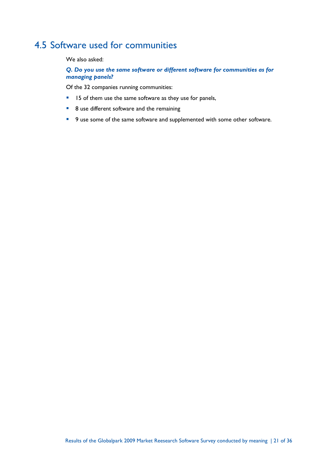## 4.5 Software used for communities

We also asked:

*Q. Do you use the same software or different software for communities as for managing panels?*

Of the 32 companies running communities:

- **15** of them use the same software as they use for panels,
- 8 use different software and the remaining
- 9 use some of the same software and supplemented with some other software.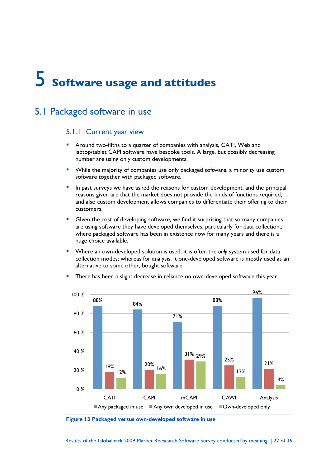# 5 **Software usage and attitudes**

## 5.1 Packaged software in use

#### 5.1.1 Current year view

- Around two-fifths to a quarter of companies with analysis, CATI, Web and laptop/tablet CAPI software have bespoke tools. A large, but possibly decreasing number are using only custom developments.
- **While the majority of companies use only packaged software, a minority use custom** software together with packaged software.
- **In past surveys we have asked the reasons for custom development, and the principal** reasons given are that the market does not provide the kinds of functions required, and also custom development allows companies to differentiate their offering to their customers.
- GIven the cost of developing software, we find it surprising that so many companies are using software they have developed themselves, particularly for data collection,, where packaged software has been in existence now for many years and there is a huge choice available.
- Where an own-developed solution is used, it is often the *only* system used for data collection modes; whereas for analysis, it one-developed software is mostly used as an alternative to some other, bought software.



There has been a slight decrease in reliance on own-developed software this year.

**Figure 13 Packaged versus own-developed software in use**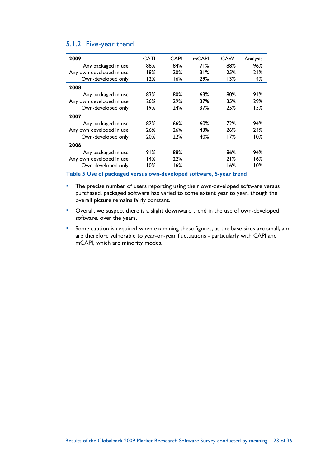#### 5.1.2 Five-year trend

| 2009                     | CATI   | CAPI | mCAPI | CAWI | Analysis |
|--------------------------|--------|------|-------|------|----------|
| Any packaged in use      | 88%    | 84%  | 71%   | 88%  | 96%      |
| Any own developed in use | 18%    | 20%  | 31%   | 25%  | 21%      |
| Own-developed only       | 12%    | 16%  | 29%   | 13%  | 4%       |
| 2008                     |        |      |       |      |          |
| Any packaged in use      | 83%    | 80%  | 63%   | 80%  | 91%      |
| Any own developed in use | 26%    | 29%  | 37%   | 35%  | 29%      |
| Own-developed only       | 19%    | 24%  | 37%   | 25%  | 15%      |
| 2007                     |        |      |       |      |          |
| Any packaged in use      | 82%    | 66%  | 60%   | 72%  | 94%      |
| Any own developed in use | 26%    | 26%  | 43%   | 26%  | 24%      |
| Own-developed only       | 20%    | 22%  | 40%   | 17%  | 10%      |
| 2006                     |        |      |       |      |          |
| Any packaged in use      | 91%    | 88%  |       | 86%  | 94%      |
| Any own developed in use | 14%    | 22%  |       | 21%  | 16%      |
| Own-developed only       | $10\%$ | 16%  |       | 16%  | 10%      |

**Table 5 Use of packaged versus own-developed software, 5-year trend**

**The precise number of users reporting using their own-developed software versus** purchased, packaged software has varied to some extent year to year, though the overall picture remains fairly constant.

- **D** Overall, we suspect there is a slight downward trend in the use of own-developed software, over the years.
- **Some caution is required when examining these figures, as the base sizes are small, and** are therefore vulnerable to year-on-year fluctuations - particularly with CAPI and mCAPI, which are minority modes.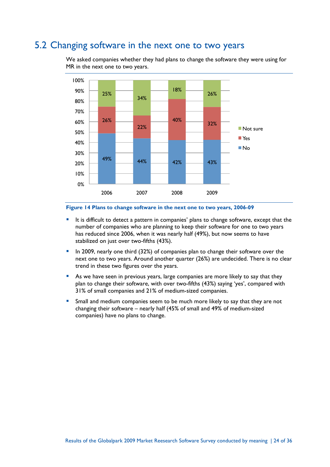## 5.2 Changing software in the next one to two years

We asked companies whether they had plans to change the software they were using for MR in the next one to two years.



#### **Figure 14 Plans to change software in the next one to two years, 2006-09**

- It is difficult to detect a pattern in companies' plans to change software, except that the number of companies who are planning to keep their software for one to two years has reduced since 2006, when it was nearly half (49%), but now seems to have stabilized on just over two-fifths (43%).
- In 2009, nearly one third (32%) of companies plan to change their software over the next one to two years. Around another quarter (26%) are undecided. There is no clear trend in these two figures over the years.
- As we have seen in previous years, large companies are more likely to say that they plan to change their software, with over two-fifths (43%) saying 'yes', compared with 31% of small companies and 21% of medium-sized companies.
- **Small and medium companies seem to be much more likely to say that they are not** changing their software – nearly half (45% of small and 49% of medium-sized companies) have no plans to change.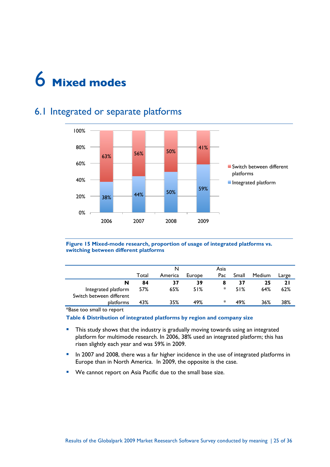

## 6.1 Integrated or separate platforms



**Figure 15 Mixed-mode research, proportion of usage of integrated platforms vs. switching between different platforms**

|                                                 | Total | N<br>America | Europe | Asia<br>Pac | Small | Medium | Large     |
|-------------------------------------------------|-------|--------------|--------|-------------|-------|--------|-----------|
| N                                               | 84    | 37           | 39     | 8           | 37    | 25     | <b>21</b> |
| Integrated platform<br>Switch between different | 57%   | 65%          | 51%    | $\ast$      | 51%   | 64%    | 62%       |
| platforms                                       | 43%   | 35%          | 49%    | *           | 49%   | 36%    | 38%       |

\*Base too small to report

**Table 6 Distribution of integrated platforms by region and company size**

- **This study shows that the industry is gradually moving towards using an integrated** platform for multimode research. In 2006, 38% used an integrated platform; this has risen slightly each year and was 59% in 2009.
- In 2007 and 2008, there was a far higher incidence in the use of integrated platforms in Europe than in North America. In 2009, the opposite is the case.
- **We cannot report on Asia Pacific due to the small base size.**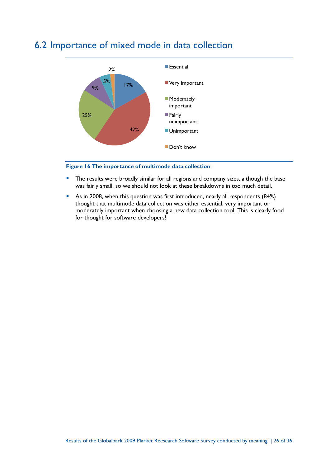

# 6.2 Importance of mixed mode in data collection

#### **Figure 16 The importance of multimode data collection**

- **The results were broadly similar for all regions and company sizes, although the base** was fairly small, so we should not look at these breakdowns in too much detail.
- As in 2008, when this question was first introduced, nearly all respondents (84%) thought that multimode data collection was either essential, very important or moderately important when choosing a new data collection tool. This is clearly food for thought for software developers!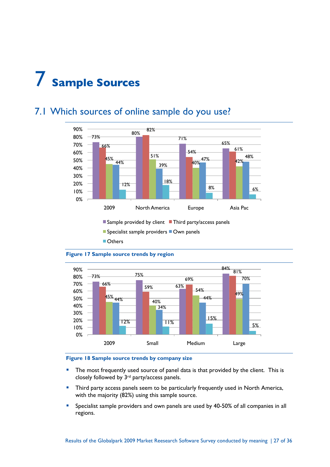# 7 **Sample Sources**

#### 73% 80% 71% 65% 66% 82% 54% 61%  $45\%$  51%  $\frac{44\%}{39\%}$   $\frac{40\%}{10\%}$   $\frac{42\%}{10\%}$ 47% 48% 12% 18% 8% 6% 0% 10% 20% 30% 40% 50% 60% 70% 80% 90% 2009 North America Europe Asia Pac

# 7.1 Which sources of online sample do you use?

 $\blacksquare$  Sample provided by client  $\blacksquare$  Third party/access panels

 $\blacksquare$  Specialist sample providers  $\blacksquare$  Own panels

**Others** 



#### **Figure 17 Sample source trends by region**

#### **Figure 18 Sample source trends by company size**

- **The most frequently used source of panel data is that provided by the client. This is** closely followed by 3rd party/access panels.
- **Third party access panels seem to be particularly frequently used in North America,** with the majority (82%) using this sample source.
- **Specialist sample providers and own panels are used by 40-50% of all companies in all** regions.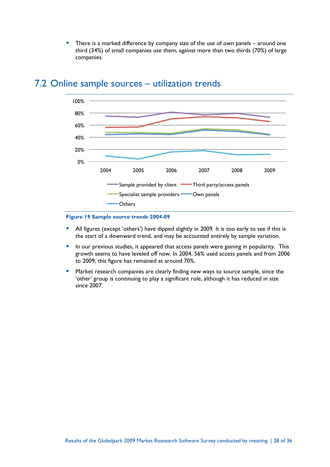There is a marked difference by company size of the use of own panels – around one third (34%) of small companies use them, against more than two thirds (70%) of large companies.



### 7.2 Online sample sources – utilization trends

#### **Figure 19 Sample source trends 2004-09**

- All figures (except 'others') have dipped slightly in 2009. It is too early to see if this is the start of a downward trend, and may be accounted entirely by sample variation.
- **In our previous studies, it appeared that access panels were gaining in popularity. This** growth seems to have leveled off now. In 2004, 56% used access panels and from 2006 to 2009, this figure has remained at around 70%.
- **Market research companies are clearly finding new ways to source sample, since the** 'other' group is continuing to play a significant role, although it has reduced in size since 2007.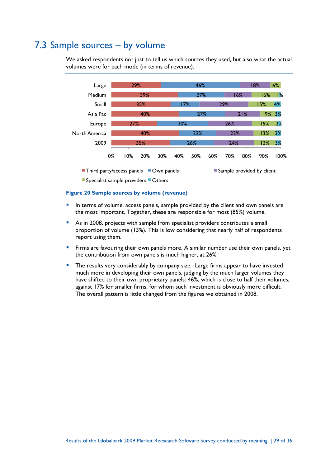## 7.3 Sample sources – by volume

We asked respondents not just to tell us which sources they used, but also what the actual volumes were for each mode (in terms of revenue).



#### **Figure 20 Sample sources by volume (revenue)**

- In terms of volume, access panels, sample provided by the client and own panels are the most important. Together, these are responsible for most (85%) volume.
- As in 2008, projects with sample from specialist providers contributes a small proportion of volume (13%). This is low considering that nearly half of respondents report using them.
- **Firms are favouring their own panels more. A similar number use their own panels, yet** the contribution from own panels is much higher, at 26%.
- The results very considerably by company size. Large firms appear to have invested much more in developing their own panels, judging by the much larger volumes they have shifted to their own proprietary panels: 46%, which is close to half their volumes, against 17% for smaller firms, for whom such investment is obviously more difficult. The overall pattern is little changed from the figures we obtained in 2008.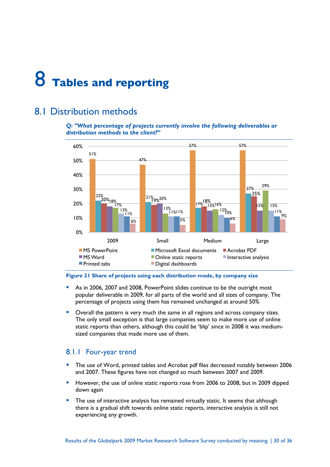# 8 **Tables and reporting**

## 8.1 Distribution methods

#### *Q: "What percentage of projects currently involve the following deliverables or distribution methods to the client?"*



#### **Figure 21 Share of projects using each distribution mode, by company size**

- As in 2006, 2007 and 2008, PowerPoint slides continue to be the outright most popular deliverable in 2009, for all parts of the world and all sizes of company. The percentage of projects using them has remained unchanged at around 50%
- Overall the pattern is very much the same in all regions and across company sizes. The only small exception is that large companies seem to make more use of online static reports than others, although this could be 'blip' since in 2008 it was mediumsized companies that made more use of them.

#### 8.1.1 Four-year trend

- The use of Word, printed tables and Acrobat pdf files decreased notably between 2006 and 2007. These figures have not changed so much between 2007 and 2009.
- **However, the use of online static reports rose from 2006 to 2008, but in 2009 dipped** down again
- **The use of interactive analysis has remained virtually static. It seems that although** there is a gradual shift towards online static reports, interactive analysis is still not experiencing any growth.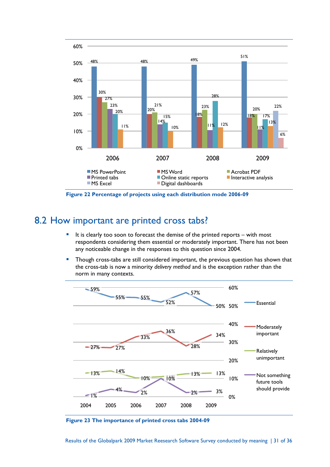

**Figure 22 Percentage of projects using each distribution mode 2006-09**

## 8.2 How important are printed cross tabs?

- It is clearly too soon to forecast the demise of the printed reports with most respondents considering them essential or moderately important. There has not been any noticeable change in the responses to this question since 2004.
- **Though cross-tabs are still considered important, the previous question has shown that** the cross-tab is now a minority *delivery method* and is the exception rather than the norm in many contexts.



**Figure 23 The importance of printed cross tabs 2004-09**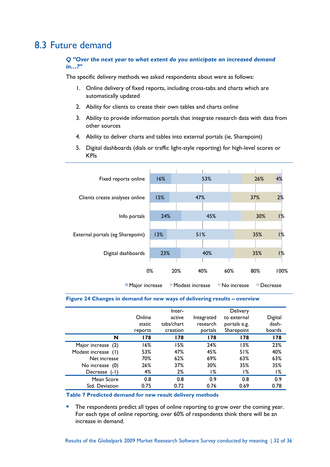## 8.3 Future demand

*Q "Over the next year to what extent do you anticipate an increased demand in…?"*

The specific delivery methods we asked respondents about were as follows:

- 1. Online delivery of fixed reports, including cross-tabs and charts which are automatically updated
- 2. Ability for clients to create their own tables and charts online
- 3. Ability to provide information portals that integrate research data with data from other sources
- 4. Ability to deliver charts and tables into external portals (ie, Sharepoint)
- 5. Digital dashboards (dials or traffic light-style reporting) for high-level scores or KPIs

| 4%                                                               |  |  |  |  |  |  |  |  |
|------------------------------------------------------------------|--|--|--|--|--|--|--|--|
|                                                                  |  |  |  |  |  |  |  |  |
|                                                                  |  |  |  |  |  |  |  |  |
| 2%                                                               |  |  |  |  |  |  |  |  |
|                                                                  |  |  |  |  |  |  |  |  |
| 1%                                                               |  |  |  |  |  |  |  |  |
|                                                                  |  |  |  |  |  |  |  |  |
| 1%                                                               |  |  |  |  |  |  |  |  |
|                                                                  |  |  |  |  |  |  |  |  |
| 1%                                                               |  |  |  |  |  |  |  |  |
|                                                                  |  |  |  |  |  |  |  |  |
| 100%                                                             |  |  |  |  |  |  |  |  |
| ■ Modest increase<br>No increase<br>■ Major increase<br>Decrease |  |  |  |  |  |  |  |  |
|                                                                  |  |  |  |  |  |  |  |  |

#### **Figure 24 Changes in demand for new ways of delivering results – overview**

|                           | Online<br>static<br>reports | Inter-<br>active<br>tabs/chart<br>creation | Integrated<br>research<br>portals | <b>Delivery</b><br>to external<br>portals e.g.<br>Sharepoint | Digital<br>dash-<br>boards |
|---------------------------|-----------------------------|--------------------------------------------|-----------------------------------|--------------------------------------------------------------|----------------------------|
| N                         | 178                         | 178                                        | 178                               | 178                                                          | 178                        |
| Major increase (2)        | 16%                         | 15%                                        | 24%                               | 13%                                                          | 23%                        |
| Modest increase (1)       | 53%                         | 47%                                        | 45%                               | 51%                                                          | 40%                        |
| Net increase              | 70%                         | 62%                                        | 69%                               | 63%                                                          | 63%                        |
| No increase (0)           | 26%                         | 37%                                        | 30%                               | 35%                                                          | 35%                        |
| <b>Decrease</b><br>$(-1)$ | 4%                          | 2%                                         | ۱%                                | ۱%                                                           | 1%                         |
| Mean Score                | 0.8                         | 0.8                                        | 0.9                               | 0.8                                                          | 0.9                        |
| Std. Deviation            | 0.75                        | 0.72                                       | 0.76                              | 0.69                                                         | 0.78                       |

**Table 7 Predicted demand for new result delivery methods**

The respondents predict all types of online reporting to grow over the coming year. For each type of online reporting, over 60% of respondents think there will be an increase in demand.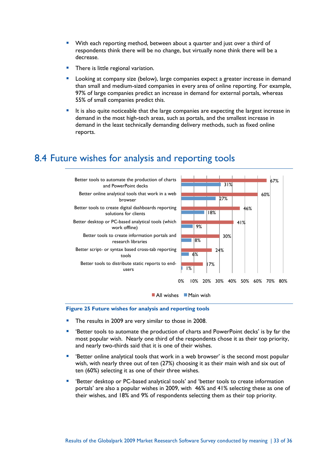- With each reporting method, between about a quarter and just over a third of respondents think there will be no change, but virtually none think there will be a decrease.
- There is little regional variation.
- Looking at company size (below), large companies expect a greater increase in demand than small and medium-sized companies in every area of online reporting. For example, 97% of large companies predict an increase in demand for external portals, whereas 55% of small companies predict this.
- It is also quite noticeable that the large companies are expecting the largest increase in demand in the most high-tech areas, such as portals, and the smallest increase in demand in the least technically demanding delivery methods, such as fixed online reports.

## 8.4 Future wishes for analysis and reporting tools



#### **Figure 25 Future wishes for analysis and reporting tools**

- The results in 2009 are very similar to those in 2008.
- 'Better tools to automate the production of charts and PowerPoint decks' is by far the most popular wish. Nearly one third of the respondents chose it as their top priority, and nearly two-thirds said that it is one of their wishes.
- 'Better online analytical tools that work in a web browser' is the second most popular wish, with nearly three out of ten (27%) choosing it as their main wish and six out of ten (60%) selecting it as one of their three wishes.
- 'Better desktop or PC-based analytical tools' and 'better tools to create information portals' are also a popular wishes in 2009, with 46% and 41% selecting these as one of their wishes, and 18% and 9% of respondents selecting them as their top priority.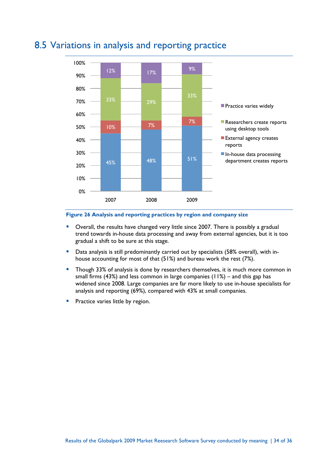

## 8.5 Variations in analysis and reporting practice

#### **Figure 26 Analysis and reporting practices by region and company size**

- Overall, the results have changed very little since 2007. There is possibly a gradual trend towards in-house data processing and away from external agencies, but it is too gradual a shift to be sure at this stage.
- **•** Data analysis is still predominantly carried out by specialists (58% overall), with inhouse accounting for most of that (51%) and bureau work the rest (7%).
- Though 33% of analysis is done by researchers themselves, it is much more common in small firms (43%) and less common in large companies (11%) – and this gap has widened since 2008. Large companies are far more likely to use in-house specialists for analysis and reporting (69%), compared with 43% at small companies.
- Practice varies little by region.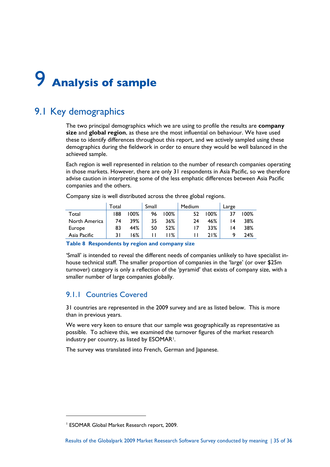# 9 **Analysis of sample**

## 9.1 Key demographics

The two principal demographics which we are using to profile the results are **company size** and **global region**, as these are the most influential on behaviour. We have used these to identify differences throughout this report, and we actively sampled using these demographics during the fieldwork in order to ensure they would be well balanced in the achieved sample.

Each region is well represented in relation to the number of research companies operating in those markets. However, there are only 31 respondents in Asia Pacific, so we therefore advise caution in interpreting some of the less emphatic differences between Asia Pacific companies and the others.

Company size is well distributed across the three global regions.

|               | Total |      | Small |      | Medium |      | Large |      |
|---------------|-------|------|-------|------|--------|------|-------|------|
| Total         | 188   | 100% | 96    | 100% | 52     | 100% |       | 100% |
| North America | 74    | 39%  | 35    | 36%  | 24     | 46%  | ۱4    | 38%  |
| Europe        | 83    | 44%  | 50    | 52%  |        | 33%  | ۱4    | 38%  |
| Asia Pacific  | 3١    | 16%  |       | 1%   |        | 21%  |       | 24%  |
|               |       |      |       |      |        |      |       |      |

**Table 8 Respondents by region and company size**

'Small' is intended to reveal the different needs of companies unlikely to have specialist inhouse technical staff. The smaller proportion of companies in the 'large' (or over \$25m turnover) category is only a reflection of the 'pyramid' that exists of company size, with a smaller number of large companies globally.

### 9.1.1 Countries Covered

31 countries are represented in the 2009 survey and are as listed below. This is more than in previous years.

We were very keen to ensure that our sample was geographically as representative as possible. To achieve this, we examined the turnover figures of the market research industry per country, as listed by ESOMAR<sup>1</sup>.

The survey was translated into French, German and Japanese.

<sup>1</sup> ESOMAR Global Market Research report, 2009.